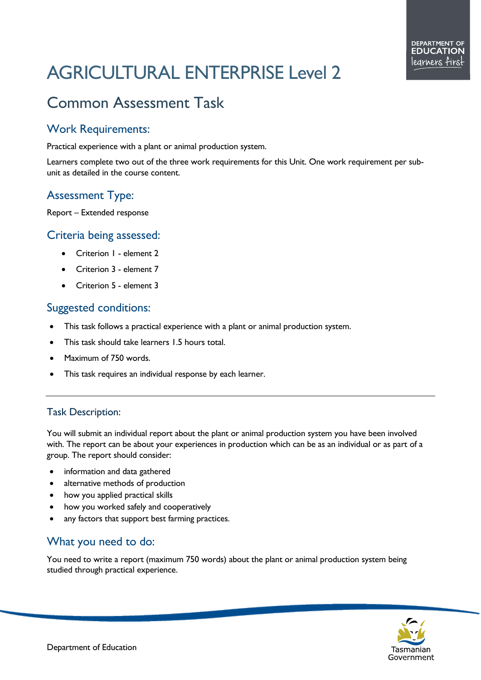# AGRICULTURAL ENTERPRISE Level 2

# Common Assessment Task

## Work Requirements:

Practical experience with a plant or animal production system.

Learners complete two out of the three work requirements for this Unit. One work requirement per subunit as detailed in the course content.

## Assessment Type:

Report – Extended response

#### Criteria being assessed:

- Criterion 1 element 2
- Criterion 3 element 7
- Criterion 5 element 3

#### Suggested conditions:

- This task follows a practical experience with a plant or animal production system.
- This task should take learners 1.5 hours total.
- Maximum of 750 words.
- This task requires an individual response by each learner.

#### Task Description:

You will submit an individual report about the plant or animal production system you have been involved with. The report can be about your experiences in production which can be as an individual or as part of a group. The report should consider:

- information and data gathered
- alternative methods of production
- how you applied practical skills
- how you worked safely and cooperatively
- any factors that support best farming practices.

#### What you need to do:

You need to write a report (maximum 750 words) about the plant or animal production system being studied through practical experience.